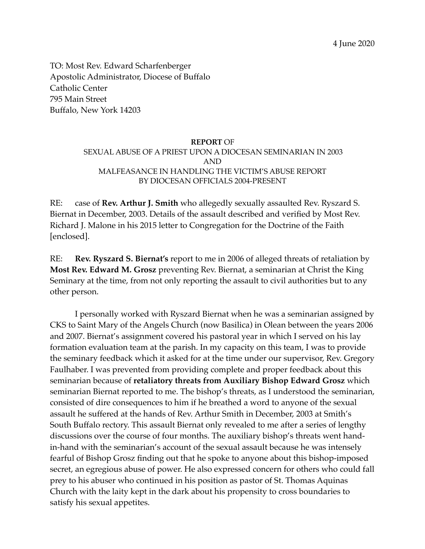4 June 2020

TO: Most Rev. Edward Scharfenberger Apostolic Administrator, Diocese of Buffalo Catholic Center 795 Main Street Buffalo, New York 14203

## **REPORT** OF SEXUAL ABUSE OF A PRIEST UPON A DIOCESAN SEMINARIAN IN 2003 AND MALFEASANCE IN HANDLING THE VICTIM'S ABUSE REPORT BY DIOCESAN OFFICIALS 2004-PRESENT

RE: case of **Rev. Arthur J. Smith** who allegedly sexually assaulted Rev. Ryszard S. Biernat in December, 2003. Details of the assault described and verified by Most Rev. Richard J. Malone in his 2015 letter to Congregation for the Doctrine of the Faith [enclosed].

RE: **Rev. Ryszard S. Biernat's** report to me in 2006 of alleged threats of retaliation by **Most Rev. Edward M. Grosz** preventing Rev. Biernat, a seminarian at Christ the King Seminary at the time, from not only reporting the assault to civil authorities but to any other person.

I personally worked with Ryszard Biernat when he was a seminarian assigned by CKS to Saint Mary of the Angels Church (now Basilica) in Olean between the years 2006 and 2007. Biernat's assignment covered his pastoral year in which I served on his lay formation evaluation team at the parish. In my capacity on this team, I was to provide the seminary feedback which it asked for at the time under our supervisor, Rev. Gregory Faulhaber. I was prevented from providing complete and proper feedback about this seminarian because of **retaliatory threats from Auxiliary Bishop Edward Grosz** which seminarian Biernat reported to me. The bishop's threats, as I understood the seminarian, consisted of dire consequences to him if he breathed a word to anyone of the sexual assault he suffered at the hands of Rev. Arthur Smith in December, 2003 at Smith's South Buffalo rectory. This assault Biernat only revealed to me after a series of lengthy discussions over the course of four months. The auxiliary bishop's threats went handin-hand with the seminarian's account of the sexual assault because he was intensely fearful of Bishop Grosz finding out that he spoke to anyone about this bishop-imposed secret, an egregious abuse of power. He also expressed concern for others who could fall prey to his abuser who continued in his position as pastor of St. Thomas Aquinas Church with the laity kept in the dark about his propensity to cross boundaries to satisfy his sexual appetites.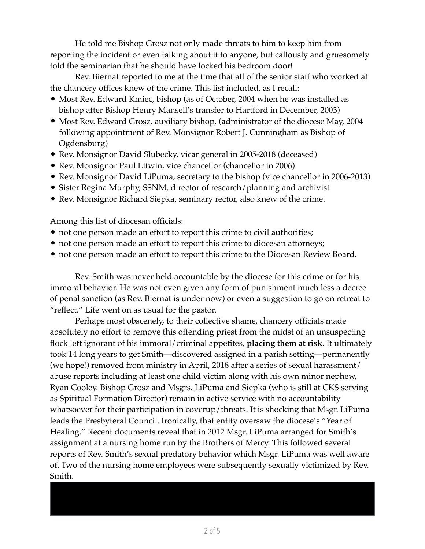He told me Bishop Grosz not only made threats to him to keep him from reporting the incident or even talking about it to anyone, but callously and gruesomely told the seminarian that he should have locked his bedroom door!

Rev. Biernat reported to me at the time that all of the senior staff who worked at the chancery offices knew of the crime. This list included, as I recall:

- Most Rev. Edward Kmiec, bishop (as of October, 2004 when he was installed as bishop after Bishop Henry Mansell's transfer to Hartford in December, 2003)
- Most Rev. Edward Grosz, auxiliary bishop, (administrator of the diocese May, 2004 following appointment of Rev. Monsignor Robert J. Cunningham as Bishop of Ogdensburg)
- Rev. Monsignor David Slubecky, vicar general in 2005-2018 (deceased)
- Rev. Monsignor Paul Litwin, vice chancellor (chancellor in 2006)
- Rev. Monsignor David LiPuma, secretary to the bishop (vice chancellor in 2006-2013)
- Sister Regina Murphy, SSNM, director of research/planning and archivist
- Rev. Monsignor Richard Siepka, seminary rector, also knew of the crime.

Among this list of diocesan officials:

- not one person made an effort to report this crime to civil authorities;
- not one person made an effort to report this crime to diocesan attorneys;
- not one person made an effort to report this crime to the Diocesan Review Board.

Rev. Smith was never held accountable by the diocese for this crime or for his immoral behavior. He was not even given any form of punishment much less a decree of penal sanction (as Rev. Biernat is under now) or even a suggestion to go on retreat to "reflect." Life went on as usual for the pastor.

Perhaps most obscenely, to their collective shame, chancery officials made absolutely no effort to remove this offending priest from the midst of an unsuspecting flock left ignorant of his immoral/criminal appetites, **placing them at risk**. It ultimately took 14 long years to get Smith—discovered assigned in a parish setting—permanently (we hope!) removed from ministry in April, 2018 after a series of sexual harassment/ abuse reports including at least one child victim along with his own minor nephew, Ryan Cooley. Bishop Grosz and Msgrs. LiPuma and Siepka (who is still at CKS serving as Spiritual Formation Director) remain in active service with no accountability whatsoever for their participation in coverup/threats. It is shocking that Msgr. LiPuma leads the Presbyteral Council. Ironically, that entity oversaw the diocese's "Year of Healing." Recent documents reveal that in 2012 Msgr. LiPuma arranged for Smith's assignment at a nursing home run by the Brothers of Mercy. This followed several reports of Rev. Smith's sexual predatory behavior which Msgr. LiPuma was well aware of. Two of the nursing home employees were subsequently sexually victimized by Rev. Smith.

from a therapist in Buffalo who specializes in working with sexual abuse survivors. This therapy, he told me, was paid for by the diocese. These counseling sessions continued

At some point following the 2003 assault, seminarian Biernat received counseling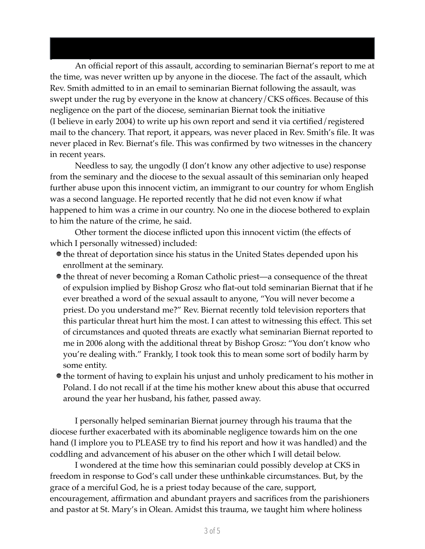An official report of this assault, according to seminarian Biernat's report to me at the time, was never written up by anyone in the diocese. The fact of the assault, which Rev. Smith admitted to in an email to seminarian Biernat following the assault, was swept under the rug by everyone in the know at chancery/CKS offices. Because of this negligence on the part of the diocese, seminarian Biernat took the initiative (I believe in early 2004) to write up his own report and send it via certified/registered mail to the chancery. That report, it appears, was never placed in Rev. Smith's file. It was never placed in Rev. Biernat's file. This was confirmed by two witnesses in the chancery in recent years.

during the time he spent in Olean at our parish, requiring him to have to leave town

periodically.

Needless to say, the ungodly (I don't know any other adjective to use) response from the seminary and the diocese to the sexual assault of this seminarian only heaped further abuse upon this innocent victim, an immigrant to our country for whom English was a second language. He reported recently that he did not even know if what happened to him was a crime in our country. No one in the diocese bothered to explain to him the nature of the crime, he said.

Other torment the diocese inflicted upon this innocent victim (the effects of which I personally witnessed) included:

- $\bullet$  the threat of deportation since his status in the United States depended upon his enrollment at the seminary.
- the threat of never becoming a Roman Catholic priest—a consequence of the threat of expulsion implied by Bishop Grosz who flat-out told seminarian Biernat that if he ever breathed a word of the sexual assault to anyone, "You will never become a priest. Do you understand me?" Rev. Biernat recently told television reporters that this particular threat hurt him the most. I can attest to witnessing this effect. This set of circumstances and quoted threats are exactly what seminarian Biernat reported to me in 2006 along with the additional threat by Bishop Grosz: "You don't know who you're dealing with." Frankly, I took took this to mean some sort of bodily harm by some entity.
- the torment of having to explain his unjust and unholy predicament to his mother in Poland. I do not recall if at the time his mother knew about this abuse that occurred around the year her husband, his father, passed away.

I personally helped seminarian Biernat journey through his trauma that the diocese further exacerbated with its abominable negligence towards him on the one hand (I implore you to PLEASE try to find his report and how it was handled) and the coddling and advancement of his abuser on the other which I will detail below.

I wondered at the time how this seminarian could possibly develop at CKS in freedom in response to God's call under these unthinkable circumstances. But, by the grace of a merciful God, he is a priest today because of the care, support, encouragement, affirmation and abundant prayers and sacrifices from the parishioners and pastor at St. Mary's in Olean. Amidst this trauma, we taught him where holiness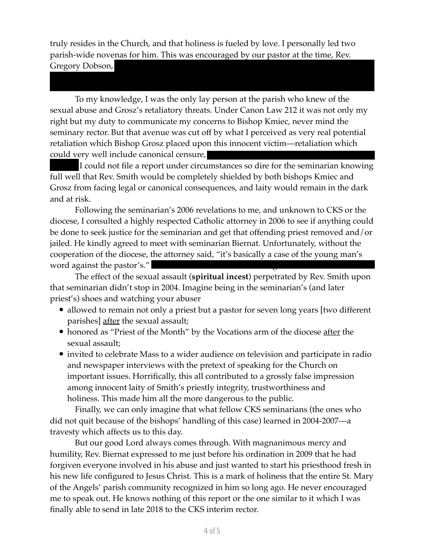truly resides in the Church, and that holiness is fueled by love. I personally led two parish-wide novenas for him. This was encouraged by our pastor at the time, Rev. Gregory Dobson,

seminarian Biernat.

To my knowledge, I was the only lay person at the parish who knew of the sexual abuse and Grosz's retaliatory threats. Under Canon Law 212 it was not only my right but my duty to communicate my concerns to Bishop Kmiec, never mind the seminary rector. But that avenue was cut off by what I perceived as very real potential retaliation which Bishop Grosz placed upon this innocent victim—retaliation which could very well include canonical censure,

I could not file a report under circumstances so dire for the seminarian knowing full well that Rev. Smith would be completely shielded by both bishops Kmiec and Grosz from facing legal or canonical consequences, and laity would remain in the dark and at risk.

Following the seminarian's 2006 revelations to me, and unknown to CKS or the diocese, I consulted a highly respected Catholic attorney in 2006 to see if anything could be done to seek justice for the seminarian and get that offending priest removed and/or jailed. He kindly agreed to meet with seminarian Biernat. Unfortunately, without the cooperation of the diocese, the attorney said, "it's basically a case of the young man's word against the pastor's."

The effect of the sexual assault (**spiritual incest**) perpetrated by Rev. Smith upon that seminarian didn't stop in 2004. Imagine being in the seminarian's (and later priest's) shoes and watching your abuser

- allowed to remain not only a priest but a pastor for seven long years [two different] parishes] after the sexual assault;
- honored as "Priest of the Month" by the Vocations arm of the diocese after the sexual assault;
- invited to celebrate Mass to a wider audience on television and participate in radio and newspaper interviews with the pretext of speaking for the Church on important issues. Horrifically, this all contributed to a grossly false impression among innocent laity of Smith's priestly integrity, trustworthiness and holiness. This made him all the more dangerous to the public.

Finally, we can only imagine that what fellow CKS seminarians (the ones who did not quit because of the bishops' handling of this case) learned in 2004-2007—a travesty which affects us to this day.

But our good Lord always comes through. With magnanimous mercy and humility, Rev. Biernat expressed to me just before his ordination in 2009 that he had forgiven everyone involved in his abuse and just wanted to start his priesthood fresh in his new life configured to Jesus Christ. This is a mark of holiness that the entire St. Mary of the Angels' parish community recognized in him so long ago. He never encouraged me to speak out. He knows nothing of this report or the one similar to it which I was finally able to send in late 2018 to the CKS interim rector.